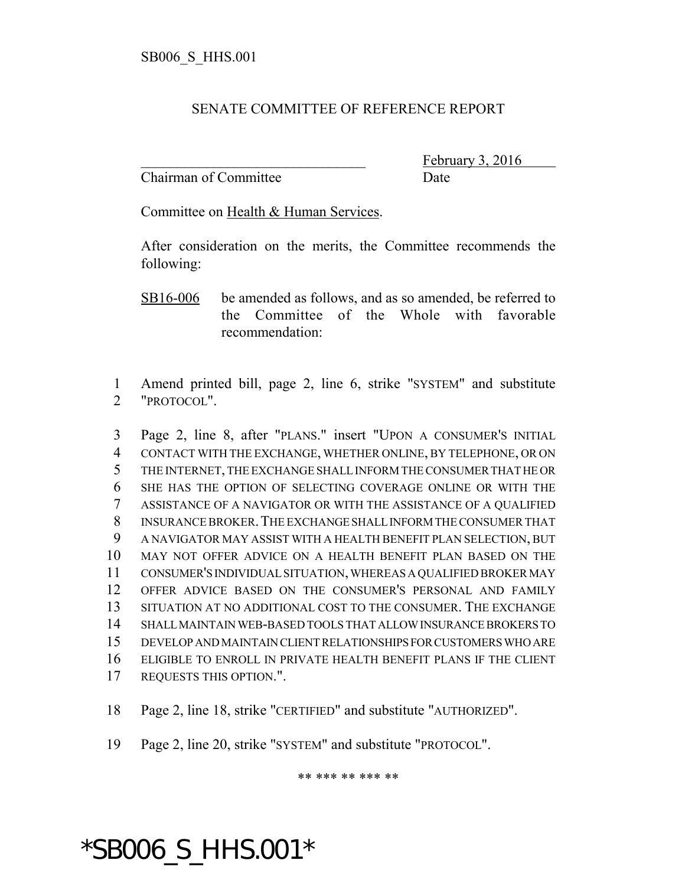## SENATE COMMITTEE OF REFERENCE REPORT

Chairman of Committee Date

February 3, 2016

Committee on Health & Human Services.

After consideration on the merits, the Committee recommends the following:

SB16-006 be amended as follows, and as so amended, be referred to the Committee of the Whole with favorable recommendation:

 Amend printed bill, page 2, line 6, strike "SYSTEM" and substitute "PROTOCOL".

 Page 2, line 8, after "PLANS." insert "UPON A CONSUMER'S INITIAL CONTACT WITH THE EXCHANGE, WHETHER ONLINE, BY TELEPHONE, OR ON THE INTERNET, THE EXCHANGE SHALL INFORM THE CONSUMER THAT HE OR SHE HAS THE OPTION OF SELECTING COVERAGE ONLINE OR WITH THE ASSISTANCE OF A NAVIGATOR OR WITH THE ASSISTANCE OF A QUALIFIED INSURANCE BROKER.THE EXCHANGE SHALL INFORM THE CONSUMER THAT A NAVIGATOR MAY ASSIST WITH A HEALTH BENEFIT PLAN SELECTION, BUT MAY NOT OFFER ADVICE ON A HEALTH BENEFIT PLAN BASED ON THE CONSUMER'S INDIVIDUAL SITUATION, WHEREAS A QUALIFIED BROKER MAY OFFER ADVICE BASED ON THE CONSUMER'S PERSONAL AND FAMILY SITUATION AT NO ADDITIONAL COST TO THE CONSUMER. THE EXCHANGE SHALL MAINTAIN WEB-BASED TOOLS THAT ALLOW INSURANCE BROKERS TO DEVELOP AND MAINTAIN CLIENT RELATIONSHIPS FOR CUSTOMERS WHO ARE ELIGIBLE TO ENROLL IN PRIVATE HEALTH BENEFIT PLANS IF THE CLIENT REQUESTS THIS OPTION.".

Page 2, line 18, strike "CERTIFIED" and substitute "AUTHORIZED".

Page 2, line 20, strike "SYSTEM" and substitute "PROTOCOL".

\*SB006\_S\_HHS.001\*

\*\* \*\*\* \*\* \*\*\* \*\*